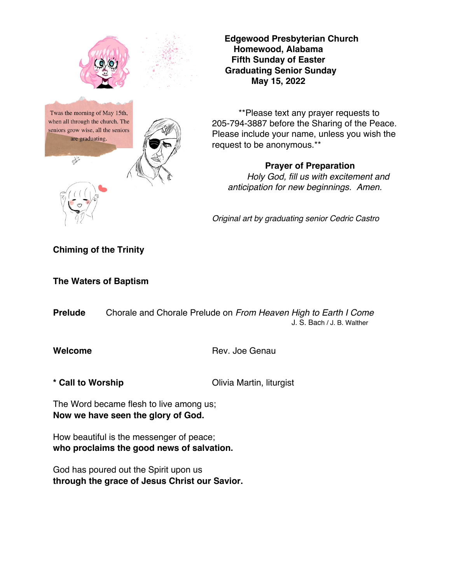

**Edgewood Presbyterian Church Homewood, Alabama Fifth Sunday of Easter Graduating Senior Sunday May 15, 2022**

\*\*Please text any prayer requests to 205-794-3887 before the Sharing of the Peace. Please include your name, unless you wish the request to be anonymous.\*\*

# **Prayer of Preparation**

*Holy God, fill us with excitement and anticipation for new beginnings. Amen.*

*Original art by graduating senior Cedric Castro*

### **Chiming of the Trinity**

**The Waters of Baptism**

**Prelude** Chorale and Chorale Prelude on *From Heaven High to Earth I Come* J. S. Bach / J. B. Walther

**Welcome** Rev. Joe Genau

\* **Call to Worship Call to Worship Call to Worship Call to Worship Call 10 Olivia Martin, liturgist** 

The Word became flesh to live among us; **Now we have seen the glory of God.**

How beautiful is the messenger of peace; **who proclaims the good news of salvation.**

God has poured out the Spirit upon us **through the grace of Jesus Christ our Savior.**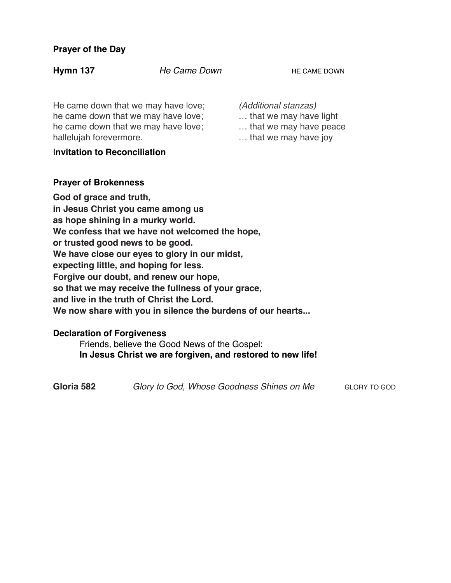#### **Prayer of the Day**

**Hymn 137** *He Came Down* **HE CAME DOWN** 

He came down that we may have love; he came down that we may have love; he came down that we may have love; hallelujah forevermore.

#### I**nvitation to Reconciliation**

*(Additional stanzas)*

- … that we may have light
- … that we may have peace
- … that we may have joy

### **Prayer of Brokenness**

**God of grace and truth, in Jesus Christ you came among us as hope shining in a murky world. We confess that we have not welcomed the hope, or trusted good news to be good. We have close our eyes to glory in our midst, expecting little, and hoping for less. Forgive our doubt, and renew our hope, so that we may receive the fullness of your grace, and live in the truth of Christ the Lord. We now share with you in silence the burdens of our hearts...** 

# **Declaration of Forgiveness**

Friends, believe the Good News of the Gospel: **In Jesus Christ we are forgiven, and restored to new life!**

**Gloria 582** *Glory to God, Whose Goodness Shines on Me* GLORY TO GOD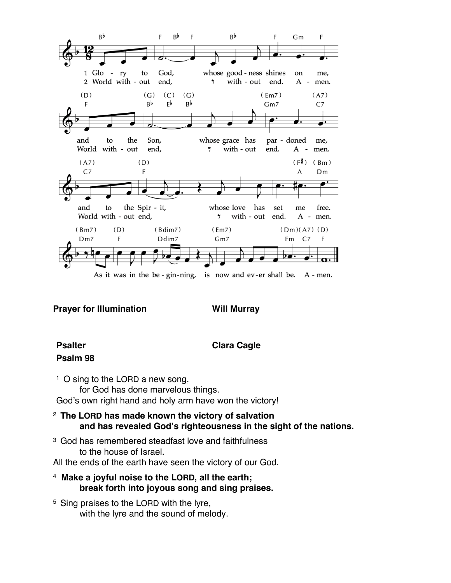

As it was in the be-gin-ning, is now and ev-er shall be. A-men.

**Prayer for Illumination Will Murray** 

# **Psalm 98**

### **Psalter Clara Cagle**

- 1 O sing to the LORD a new song, for God has done marvelous things. God's own right hand and holy arm have won the victory!
- <sup>2</sup>**The LORD has made known the victory of salvation and has revealed God's righteousness in the sight of the nations.**
- 3 God has remembered steadfast love and faithfulness to the house of Israel.
- All the ends of the earth have seen the victory of our God.
- 4 **Make a joyful noise to the LORD, all the earth; break forth into joyous song and sing praises.**
- 5 Sing praises to the LORD with the lyre, with the lyre and the sound of melody.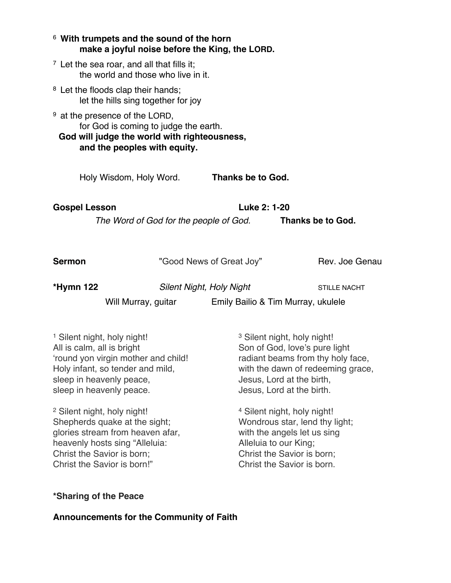| <sup>6</sup> With trumpets and the sound of the horn                                                                                                                                                    |  | make a joyful noise before the King, the LORD.                                                                                                                                                              |                                                                                                         |  |
|---------------------------------------------------------------------------------------------------------------------------------------------------------------------------------------------------------|--|-------------------------------------------------------------------------------------------------------------------------------------------------------------------------------------------------------------|---------------------------------------------------------------------------------------------------------|--|
| $\frac{7}{7}$ Let the sea roar, and all that fills it;<br>the world and those who live in it.                                                                                                           |  |                                                                                                                                                                                                             |                                                                                                         |  |
| <sup>8</sup> Let the floods clap their hands;<br>let the hills sing together for joy                                                                                                                    |  |                                                                                                                                                                                                             |                                                                                                         |  |
| <sup>9</sup> at the presence of the LORD,<br>for God is coming to judge the earth.<br>God will judge the world with righteousness,<br>and the peoples with equity.                                      |  |                                                                                                                                                                                                             |                                                                                                         |  |
| Holy Wisdom, Holy Word.                                                                                                                                                                                 |  | Thanks be to God.                                                                                                                                                                                           |                                                                                                         |  |
| <b>Gospel Lesson</b>                                                                                                                                                                                    |  | Luke 2: 1-20                                                                                                                                                                                                |                                                                                                         |  |
|                                                                                                                                                                                                         |  | The Word of God for the people of God.                                                                                                                                                                      | Thanks be to God.                                                                                       |  |
| <b>Sermon</b>                                                                                                                                                                                           |  | "Good News of Great Joy"                                                                                                                                                                                    | Rev. Joe Genau                                                                                          |  |
| *Hymn 122                                                                                                                                                                                               |  | <b>Silent Night, Holy Night</b>                                                                                                                                                                             | <b>STILLE NACHT</b>                                                                                     |  |
|                                                                                                                                                                                                         |  | Will Murray, guitar Emily Bailio & Tim Murray, ukulele                                                                                                                                                      |                                                                                                         |  |
| <sup>1</sup> Silent night, holy night!<br>All is calm, all is bright<br>'round yon virgin mother and child!<br>Holy infant, so tender and mild,<br>sleep in heavenly peace,<br>sleep in heavenly peace. |  | <sup>3</sup> Silent night, holy night!<br>Son of God, love's pure light<br>radiant beams from thy holy face,<br>with the dawn of redeeming grace,<br>Jesus, Lord at the birth,<br>Jesus, Lord at the birth. |                                                                                                         |  |
| <sup>2</sup> Silent night, holy night!<br>Shepherds quake at the sight;<br>glories stream from heaven afar,                                                                                             |  |                                                                                                                                                                                                             | <sup>4</sup> Silent night, holy night!<br>Wondrous star, lend thy light;<br>with the angels let us sing |  |

heavenly hosts sing "Alleluia: Christ the Savior is born; Christ the Savior is born!"

with the angels let us sing Alleluia to our King; Christ the Savior is born; Christ the Savior is born.

**\*Sharing of the Peace** 

**Announcements for the Community of Faith**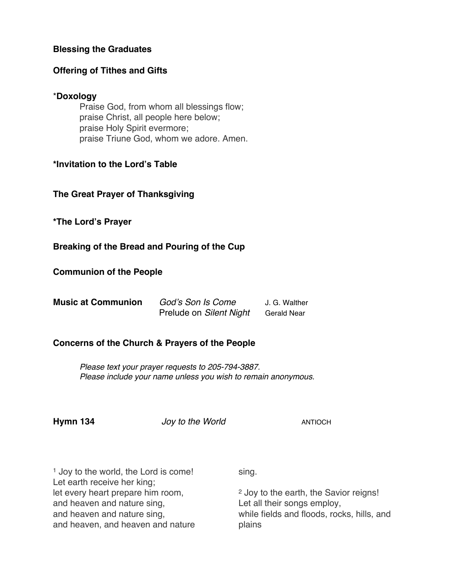#### **Blessing the Graduates**

#### **Offering of Tithes and Gifts**

#### \***Doxology**

Praise God, from whom all blessings flow; praise Christ, all people here below; praise Holy Spirit evermore; praise Triune God, whom we adore. Amen.

### **\*Invitation to the Lord's Table**

### **The Great Prayer of Thanksgiving**

**\*The Lord's Prayer**

#### **Breaking of the Bread and Pouring of the Cup**

#### **Communion of the People**

| <b>Music at Communion</b> | God's Son Is Come       | J. G. Walther      |
|---------------------------|-------------------------|--------------------|
|                           | Prelude on Silent Night | <b>Gerald Near</b> |

#### **Concerns of the Church & Prayers of the People**

*Please text your prayer requests to 205-794-3887. Please include your name unless you wish to remain anonymous.*

**Hymn 134** *Joy to the World* **ANTIOCH** 

| <sup>1</sup> Joy to the world, the Lord is come! | sing.                                             |
|--------------------------------------------------|---------------------------------------------------|
| Let earth receive her king;                      |                                                   |
| let every heart prepare him room,                | <sup>2</sup> Joy to the earth, the Savior reigns! |
| and heaven and nature sing,                      | Let all their songs employ,                       |
| and heaven and nature sing,                      | while fields and floods, rocks, hills, and        |
| and heaven, and heaven and nature                | plains                                            |
|                                                  |                                                   |